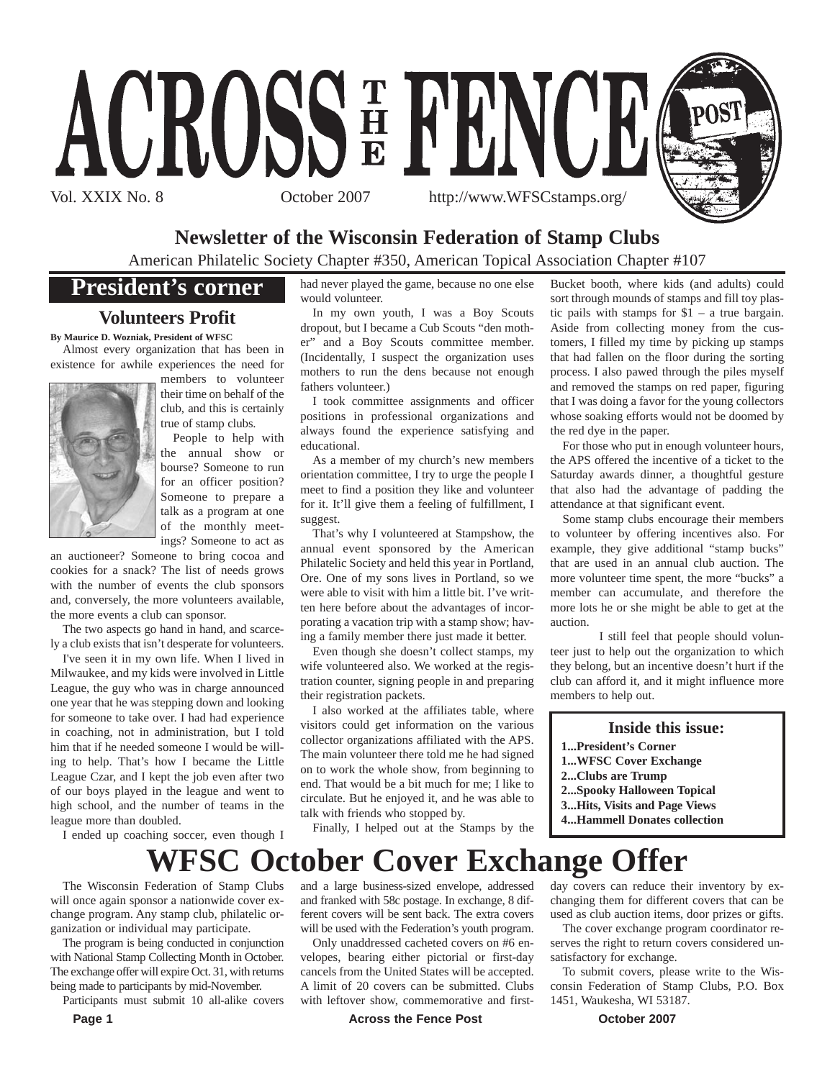

## **Newsletter of the Wisconsin Federation of Stamp Clubs**

American Philatelic Society Chapter #350, American Topical Association Chapter #107

## **President's corner**

## **Volunteers Profit**

**By Maurice D. Wozniak, President of WFSC**

Almost every organization that has been in existence for awhile experiences the need for



members to volunteer their time on behalf of the club, and this is certainly true of stamp clubs.

People to help with the annual show or bourse? Someone to run for an officer position? Someone to prepare a talk as a program at one of the monthly meetings? Someone to act as

an auctioneer? Someone to bring cocoa and cookies for a snack? The list of needs grows with the number of events the club sponsors and, conversely, the more volunteers available, the more events a club can sponsor.

The two aspects go hand in hand, and scarcely a club exists that isn't desperate for volunteers.

I've seen it in my own life. When I lived in Milwaukee, and my kids were involved in Little League, the guy who was in charge announced one year that he was stepping down and looking for someone to take over. I had had experience in coaching, not in administration, but I told him that if he needed someone I would be willing to help. That's how I became the Little League Czar, and I kept the job even after two of our boys played in the league and went to high school, and the number of teams in the league more than doubled.

I ended up coaching soccer, even though I

had never played the game, because no one else would volunteer.

In my own youth, I was a Boy Scouts dropout, but I became a Cub Scouts "den mother" and a Boy Scouts committee member. (Incidentally, I suspect the organization uses mothers to run the dens because not enough fathers volunteer.)

I took committee assignments and officer positions in professional organizations and always found the experience satisfying and educational.

As a member of my church's new members orientation committee, I try to urge the people I meet to find a position they like and volunteer for it. It'll give them a feeling of fulfillment, I suggest.

That's why I volunteered at Stampshow, the annual event sponsored by the American Philatelic Society and held this year in Portland, Ore. One of my sons lives in Portland, so we were able to visit with him a little bit. I've written here before about the advantages of incorporating a vacation trip with a stamp show; having a family member there just made it better.

Even though she doesn't collect stamps, my wife volunteered also. We worked at the registration counter, signing people in and preparing their registration packets.

I also worked at the affiliates table, where visitors could get information on the various collector organizations affiliated with the APS. The main volunteer there told me he had signed on to work the whole show, from beginning to end. That would be a bit much for me; I like to circulate. But he enjoyed it, and he was able to talk with friends who stopped by.

Finally, I helped out at the Stamps by the

Bucket booth, where kids (and adults) could sort through mounds of stamps and fill toy plastic pails with stamps for \$1 – a true bargain. Aside from collecting money from the customers, I filled my time by picking up stamps that had fallen on the floor during the sorting process. I also pawed through the piles myself and removed the stamps on red paper, figuring that I was doing a favor for the young collectors whose soaking efforts would not be doomed by the red dye in the paper.

For those who put in enough volunteer hours, the APS offered the incentive of a ticket to the Saturday awards dinner, a thoughtful gesture that also had the advantage of padding the attendance at that significant event.

Some stamp clubs encourage their members to volunteer by offering incentives also. For example, they give additional "stamp bucks" that are used in an annual club auction. The more volunteer time spent, the more "bucks" a member can accumulate, and therefore the more lots he or she might be able to get at the auction.

I still feel that people should volunteer just to help out the organization to which they belong, but an incentive doesn't hurt if the club can afford it, and it might influence more members to help out.

#### **Inside this issue:**

day covers can reduce their inventory by exchanging them for different covers that can be used as club auction items, door prizes or gifts. The cover exchange program coordinator reserves the right to return covers considered un-

To submit covers, please write to the Wisconsin Federation of Stamp Clubs, P.O. Box

- **1...President's Corner**
- **1...WFSC Cover Exchange**
- **2...Clubs are Trump**
- **2...Spooky Halloween Topical**
- **3...Hits, Visits and Page Views**
- **4...Hammell Donates collection**

## and a large business-sized envelope, addressed **WFSC October Cover Exchange Offer**

and franked with 58c postage. In exchange, 8 different covers will be sent back. The extra covers will be used with the Federation's youth program. Only unaddressed cacheted covers on #6 envelopes, bearing either pictorial or first-day cancels from the United States will be accepted. A limit of 20 covers can be submitted. Clubs

The Wisconsin Federation of Stamp Clubs will once again sponsor a nationwide cover exchange program. Any stamp club, philatelic organization or individual may participate.

The program is being conducted in conjunction with National Stamp Collecting Month in October. The exchange offer will expire Oct. 31, with returns being made to participants by mid-November.

Participants must submit 10 all-alike covers

**Page 1 Across the Fence Post Controllery Across the Fence Post Controllery 2007** with leftover show, commemorative and first-

satisfactory for exchange.

1451, Waukesha, WI 53187.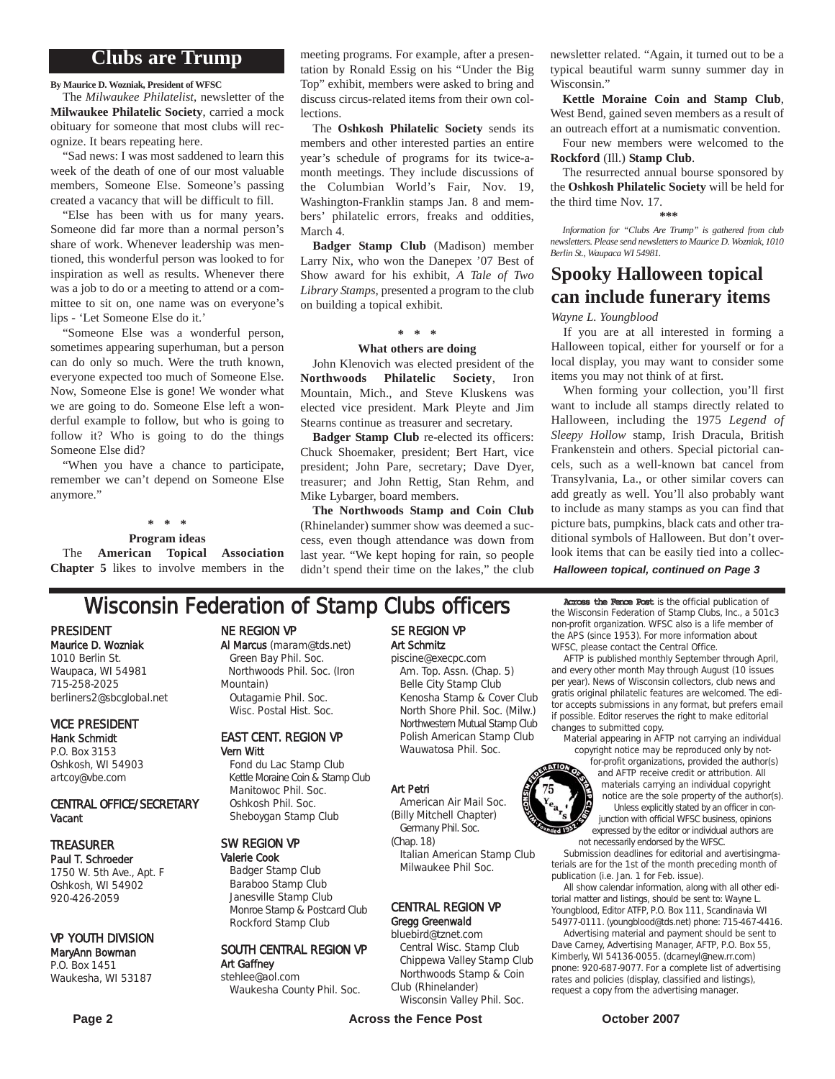## **Clubs are Trump**

**By Maurice D. Wozniak, President of WFSC**

The *Milwaukee Philatelist*, newsletter of the **Milwaukee Philatelic Society**, carried a mock obituary for someone that most clubs will recognize. It bears repeating here.

"Sad news: I was most saddened to learn this week of the death of one of our most valuable members, Someone Else. Someone's passing created a vacancy that will be difficult to fill.

"Else has been with us for many years. Someone did far more than a normal person's share of work. Whenever leadership was mentioned, this wonderful person was looked to for inspiration as well as results. Whenever there was a job to do or a meeting to attend or a committee to sit on, one name was on everyone's lips - 'Let Someone Else do it.'

"Someone Else was a wonderful person, sometimes appearing superhuman, but a person can do only so much. Were the truth known, everyone expected too much of Someone Else. Now, Someone Else is gone! We wonder what we are going to do. Someone Else left a wonderful example to follow, but who is going to follow it? Who is going to do the things Someone Else did?

"When you have a chance to participate, remember we can't depend on Someone Else anymore."

**\* \* \***

**Program ideas**

The **American Topical Association Chapter 5** likes to involve members in the

meeting programs. For example, after a presentation by Ronald Essig on his "Under the Big Top" exhibit, members were asked to bring and discuss circus-related items from their own collections.

The **Oshkosh Philatelic Society** sends its members and other interested parties an entire year's schedule of programs for its twice-amonth meetings. They include discussions of the Columbian World's Fair, Nov. 19, Washington-Franklin stamps Jan. 8 and members' philatelic errors, freaks and oddities, March 4.

**Badger Stamp Club** (Madison) member Larry Nix, who won the Danepex '07 Best of Show award for his exhibit, *A Tale of Two Library Stamps*, presented a program to the club on building a topical exhibit.

#### **\* \* \***

#### **What others are doing**

John Klenovich was elected president of the **Northwoods Philatelic Society**, Iron Mountain, Mich., and Steve Kluskens was elected vice president. Mark Pleyte and Jim Stearns continue as treasurer and secretary.

**Badger Stamp Club** re-elected its officers: Chuck Shoemaker, president; Bert Hart, vice president; John Pare, secretary; Dave Dyer, treasurer; and John Rettig, Stan Rehm, and Mike Lybarger, board members.

**The Northwoods Stamp and Coin Club** (Rhinelander) summer show was deemed a success, even though attendance was down from last year. "We kept hoping for rain, so people didn't spend their time on the lakes," the club

newsletter related. "Again, it turned out to be a typical beautiful warm sunny summer day in Wisconsin<sup>"</sup>

**Kettle Moraine Coin and Stamp Club**, West Bend, gained seven members as a result of an outreach effort at a numismatic convention.

Four new members were welcomed to the **Rockford** (Ill.) **Stamp Club**.

The resurrected annual bourse sponsored by the **Oshkosh Philatelic Society** will be held for the third time Nov. 17.

#### **\*\*\***

*Information for "Clubs Are Trump" is gathered from club newsletters. Please send newsletters to Maurice D. Wozniak, 1010 Berlin St., Waupaca WI 54981.*

## **Spooky Halloween topical can include funerary items**

*Wayne L. Youngblood*

If you are at all interested in forming a Halloween topical, either for yourself or for a local display, you may want to consider some items you may not think of at first.

When forming your collection, you'll first want to include all stamps directly related to Halloween, including the 1975 *Legend of Sleepy Hollow* stamp, Irish Dracula, British Frankenstein and others. Special pictorial cancels, such as a well-known bat cancel from Transylvania, La., or other similar covers can add greatly as well. You'll also probably want to include as many stamps as you can find that picture bats, pumpkins, black cats and other traditional symbols of Halloween. But don't overlook items that can be easily tied into a collec-

*Halloween topical, continued on Page 3*

## **Wisconsin Federation of Stamp Clubs officers** Across the Fence Post is the official publication of

PRESIDENT Maurice D. Wozniak 1010 Berlin St. Waupaca, WI 54981 715-258-2025 berliners2@sbcglobal.net

## VICE PRESIDENT Hank Schmidt

P.O. Box 3153 Oshkosh, WI 54903 artcoy@vbe.com

#### CENTRAL OFFICE/SECRETARY Vacant

## TREASURER

Paul T. Schroeder 1750 W. 5th Ave., Apt. F Oshkosh, WI 54902 920-426-2059

#### VP YOUTH DIVISION

#### MaryAnn Bowman P.O. Box 1451 Waukesha, WI 53187

NE REGION VP

Al Marcus (maram@tds.net) Green Bay Phil. Soc. Northwoods Phil. Soc. (Iron Mountain) Outagamie Phil. Soc. Wisc. Postal Hist. Soc.

#### EAST CENT. REGION VP Vern Witt

Fond du Lac Stamp Club Kettle Moraine Coin & Stamp Club Manitowoc Phil. Soc. Oshkosh Phil. Soc. Sheboygan Stamp Club

#### SW REGION VP

Valerie Cook Badger Stamp Club Baraboo Stamp Club Janesville Stamp Club Monroe Stamp & Postcard Club Rockford Stamp Club

#### SOUTH CENTRAL REGION VP Art Gaffney stehlee@aol.com

Waukesha County Phil. Soc.

### SE REGION VP Art Schmitz piscine@execpc.com

Am. Top. Assn. (Chap. 5) Belle City Stamp Club Kenosha Stamp & Cover Club North Shore Phil. Soc. (Milw.) Northwestern Mutual Stamp Club Polish American Stamp Club Wauwatosa Phil. Soc.

#### Art Petri

American Air Mail Soc. (Billy Mitchell Chapter) Germany Phil. Soc.

#### CENTRAL REGION VP Gregg Greenwald

### bluebird@tznet.com

Central Wisc. Stamp Club Chippewa Valley Stamp Club Northwoods Stamp & Coin Club (Rhinelander)

Wisconsin Valley Phil. Soc.

the Wisconsin Federation of Stamp Clubs, Inc., a 501c3 non-profit organization. WFSC also is a life member of the APS (since 1953). For more information about WFSC, please contact the Central Office.

AFTP is published monthly September through April, and every other month May through August (10 issues per year). News of Wisconsin collectors, club news and gratis original philatelic features are welcomed. The editor accepts submissions in any format, but prefers email if possible. Editor reserves the right to make editorial changes to submitted copy.

material appearing in AFTP not carrying an individual copyright notice may be reproduced only by not-

for-profit organizations, provided the author(s) and AFTP receive credit or attribution. All materials carrying an individual copyright notice are the sole property of the author(s). Unless explicitly stated by an officer in conjunction with official WFSC business, opinions expressed by the editor or individual authors are not necessarily endorsed by the WFSC.

Submission deadlines for editorial and avertisingmaterials are for the 1st of the month preceding month of publication (i.e. Jan. 1 for Feb. issue).

All show calendar information, along with all other editorial matter and listings, should be sent to: Wayne L. Youngblood, Editor ATFP, P.O. Box 111, Scandinavia WI 54977-0111. (youngblood@tds.net) phone: 715-467-4416.

Advertising material and payment should be sent to Dave Carney, Advertising Manager, AFTP, P.O. Box 55, Kimberly, WI 54136-0055. (dcarneyl@new.rr.com) pnone: 920-687-9077. For a complete list of advertising rates and policies (display, classified and listings), request a copy from the advertising manager.

ded 1932.

(Chap. 18) Italian American Stamp Club Milwaukee Phil Soc.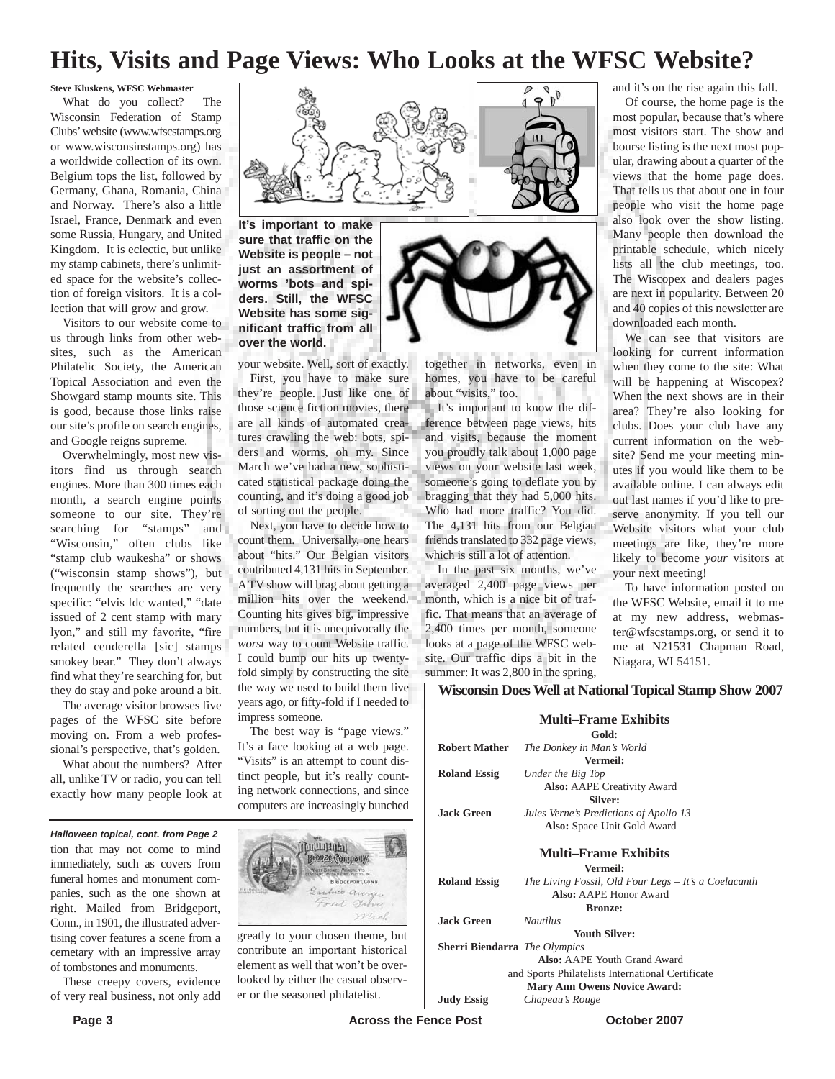## **Hits, Visits and Page Views: Who Looks at the WFSC Website?**

**Steve Kluskens, WFSC Webmaster**

What do you collect? The Wisconsin Federation of Stamp Clubs'website (www.wfscstamps.org or www.wisconsinstamps.org) has a worldwide collection of its own. Belgium tops the list, followed by Germany, Ghana, Romania, China and Norway. There's also a little Israel, France, Denmark and even some Russia, Hungary, and United Kingdom. It is eclectic, but unlike my stamp cabinets, there's unlimited space for the website's collection of foreign visitors. It is a collection that will grow and grow.

Visitors to our website come to us through links from other websites, such as the American Philatelic Society, the American Topical Association and even the Showgard stamp mounts site. This is good, because those links raise our site's profile on search engines, and Google reigns supreme.

Overwhelmingly, most new visitors find us through search engines. More than 300 times each month, a search engine points someone to our site. They're searching for "stamps" and "Wisconsin," often clubs like "stamp club waukesha" or shows ("wisconsin stamp shows"), but frequently the searches are very specific: "elvis fdc wanted," "date issued of 2 cent stamp with mary lyon," and still my favorite, "fire related cenderella [sic] stamps smokey bear." They don't always find what they're searching for, but they do stay and poke around a bit.

The average visitor browses five pages of the WFSC site before moving on. From a web professional's perspective, that's golden.

What about the numbers? After all, unlike TV or radio, you can tell exactly how many people look at

 $\mathbb{I}_{\mathbb{I}}^{\mathbb{P}}$ 9

**It's important to make sure that traffic on the Website is people – not just an assortment of worms 'bots and spiders. Still, the WFSC Website has some significant traffic from all over the world.**

your website. Well, sort of exactly. First, you have to make sure they're people. Just like one of those science fiction movies, there are all kinds of automated creatures crawling the web: bots, spiders and worms, oh my. Since March we've had a new, sophisticated statistical package doing the counting, and it's doing a good job of sorting out the people.

Next, you have to decide how to count them. Universally, one hears about "hits." Our Belgian visitors contributed 4,131 hits in September. A TV show will brag about getting a million hits over the weekend. Counting hits gives big, impressive numbers, but it is unequivocally the *worst* way to count Website traffic. I could bump our hits up twentyfold simply by constructing the site the way we used to build them five years ago, or fifty-fold if I needed to impress someone.

The best way is "page views." It's a face looking at a web page. "Visits" is an attempt to count distinct people, but it's really counting network connections, and since computers are increasingly bunched



together in networks, even in homes, you have to be careful about "visits," too.

It's important to know the difference between page views, hits and visits, because the moment you proudly talk about 1,000 page views on your website last week, someone's going to deflate you by bragging that they had 5,000 hits. Who had more traffic? You did. The 4,131 hits from our Belgian friends translated to 332 page views, which is still a lot of attention.

In the past six months, we've averaged 2,400 page views per month, which is a nice bit of traffic. That means that an average of 2,400 times per month, someone looks at a page of the WFSC website. Our traffic dips a bit in the summer: It was 2,800 in the spring, and it's on the rise again this fall.

Of course, the home page is the most popular, because that's where most visitors start. The show and bourse listing is the next most popular, drawing about a quarter of the views that the home page does. That tells us that about one in four people who visit the home page also look over the show listing. Many people then download the printable schedule, which nicely lists all the club meetings, too. The Wiscopex and dealers pages are next in popularity. Between 20 and 40 copies of this newsletter are downloaded each month.

We can see that visitors are looking for current information when they come to the site: What will be happening at Wiscopex? When the next shows are in their area? They're also looking for clubs. Does your club have any current information on the website? Send me your meeting minutes if you would like them to be available online. I can always edit out last names if you'd like to preserve anonymity. If you tell our Website visitors what your club meetings are like, they're more likely to become *your* visitors at your next meeting!

To have information posted on the WFSC Website, email it to me at my new address, webmaster@wfscstamps.org, or send it to me at N21531 Chapman Road, Niagara, WI 54151.

#### **Wisconsin Does Well at National Topical Stamp Show 2007**

| <b>Multi–Frame Exhibits</b>                       |                                                      |
|---------------------------------------------------|------------------------------------------------------|
| Gold:                                             |                                                      |
| <b>Robert Mather</b>                              | The Donkey in Man's World                            |
|                                                   | Vermeil:                                             |
| <b>Roland Essig</b>                               | Under the Big Top                                    |
|                                                   | <b>Also:</b> AAPE Creativity Award                   |
| Silver:                                           |                                                      |
| <b>Jack Green</b>                                 | Jules Verne's Predictions of Apollo 13               |
|                                                   | Also: Space Unit Gold Award                          |
|                                                   |                                                      |
| <b>Multi–Frame Exhibits</b>                       |                                                      |
| Vermeil:                                          |                                                      |
| <b>Roland Essig</b>                               | The Living Fossil, Old Four Legs - It's a Coelacanth |
|                                                   | Also: AAPE Honor Award                               |
| <b>Bronze:</b>                                    |                                                      |
| <b>Jack Green</b>                                 | <b>Nautilus</b>                                      |
| <b>Youth Silver:</b>                              |                                                      |
| <b>Sherri Biendarra</b> The Olympics              |                                                      |
| Also: AAPE Youth Grand Award                      |                                                      |
| and Sports Philatelists International Certificate |                                                      |
| <b>Mary Ann Owens Novice Award:</b>               |                                                      |
| <b>Judy Essig</b>                                 | Chapeau's Rouge                                      |

tion that may not come to mind immediately, such as covers from funeral homes and monument companies, such as the one shown at right. Mailed from Bridgeport, Conn., in 1901, the illustrated advertising cover features a scene from a cemetary with an impressive array of tombstones and monuments. *Halloween topical, cont. from Page 2*

These creepy covers, evidence of very real business, not only add



greatly to your chosen theme, but contribute an important historical element as well that won't be overlooked by either the casual observer or the seasoned philatelist.

**Page 3 Conserverse Exercise Servers Across the Fence Post Conserverse Conserverse October 2007**